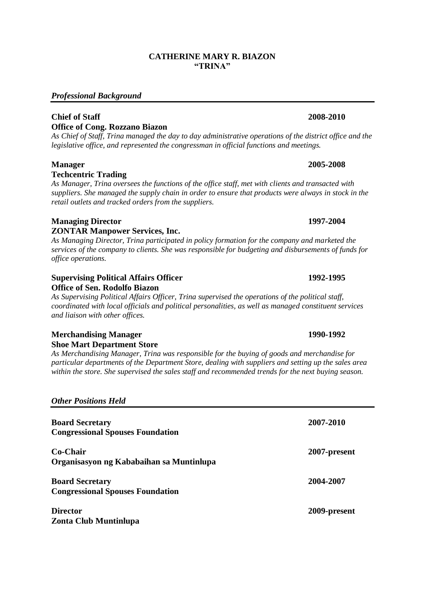#### **CATHERINE MARY R. BIAZON "TRINA"**

# *Professional Background*

## **Chief of Staff 2008-2010 Office of Cong. Rozzano Biazon**

*As Chief of Staff, Trina managed the day to day administrative operations of the district office and the legislative office, and represented the congressman in official functions and meetings.*

# **Manager 2005-2008 Techcentric Trading**

*As Manager, Trina oversees the functions of the office staff, met with clients and transacted with suppliers. She managed the supply chain in order to ensure that products were always in stock in the retail outlets and tracked orders from the suppliers.*

## **Managing Director 1997-2004 ZONTAR Manpower Services, Inc.**

*As Managing Director, Trina participated in policy formation for the company and marketed the services of the company to clients. She was responsible for budgeting and disbursements of funds for office operations.*

#### **Supervising Political Affairs Officer 1992-1995 Office of Sen. Rodolfo Biazon**

*As Supervising Political Affairs Officer, Trina supervised the operations of the political staff, coordinated with local officials and political personalities, as well as managed constituent services and liaison with other offices.*

## **Merchandising Manager 1990-1992 Shoe Mart Department Store**

*As Merchandising Manager, Trina was responsible for the buying of goods and merchandise for particular departments of the Department Store, dealing with suppliers and setting up the sales area within the store. She supervised the sales staff and recommended trends for the next buying season.*

|  | <b>Other Positions Held</b> |  |
|--|-----------------------------|--|
|--|-----------------------------|--|

| <b>Board Secretary</b>                   | 2007-2010    |
|------------------------------------------|--------------|
| <b>Congressional Spouses Foundation</b>  |              |
| Co-Chair                                 | 2007-present |
| Organisasyon ng Kababaihan sa Muntinlupa |              |
| <b>Board Secretary</b>                   | 2004-2007    |
| <b>Congressional Spouses Foundation</b>  |              |
| <b>Director</b>                          | 2009-present |
| <b>Zonta Club Muntinlupa</b>             |              |